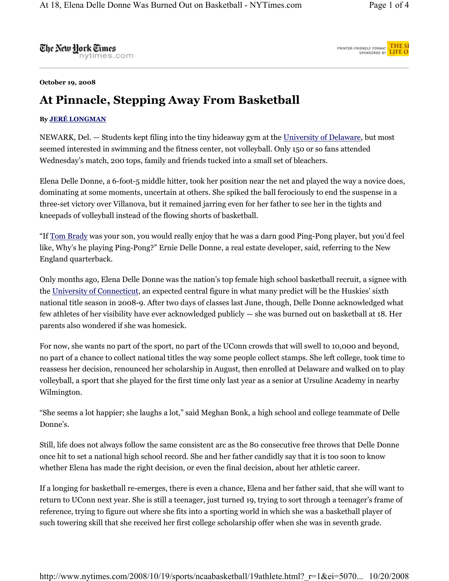## The New Hork Times



**October 19, 2008** 

## **At Pinnacle, Stepping Away From Basketball**

## **By JERÉ LONGMAN**

NEWARK, Del. — Students kept filing into the tiny hideaway gym at the University of Delaware, but most seemed interested in swimming and the fitness center, not volleyball. Only 150 or so fans attended Wednesday's match, 200 tops, family and friends tucked into a small set of bleachers.

Elena Delle Donne, a 6-foot-5 middle hitter, took her position near the net and played the way a novice does, dominating at some moments, uncertain at others. She spiked the ball ferociously to end the suspense in a three-set victory over Villanova, but it remained jarring even for her father to see her in the tights and kneepads of volleyball instead of the flowing shorts of basketball.

"If Tom Brady was your son, you would really enjoy that he was a darn good Ping-Pong player, but you'd feel like, Why's he playing Ping-Pong?" Ernie Delle Donne, a real estate developer, said, referring to the New England quarterback.

Only months ago, Elena Delle Donne was the nation's top female high school basketball recruit, a signee with the University of Connecticut, an expected central figure in what many predict will be the Huskies' sixth national title season in 2008-9. After two days of classes last June, though, Delle Donne acknowledged what few athletes of her visibility have ever acknowledged publicly — she was burned out on basketball at 18. Her parents also wondered if she was homesick.

For now, she wants no part of the sport, no part of the UConn crowds that will swell to 10,000 and beyond, no part of a chance to collect national titles the way some people collect stamps. She left college, took time to reassess her decision, renounced her scholarship in August, then enrolled at Delaware and walked on to play volleyball, a sport that she played for the first time only last year as a senior at Ursuline Academy in nearby Wilmington.

"She seems a lot happier; she laughs a lot," said Meghan Bonk, a high school and college teammate of Delle Donne's.

Still, life does not always follow the same consistent arc as the 80 consecutive free throws that Delle Donne once hit to set a national high school record. She and her father candidly say that it is too soon to know whether Elena has made the right decision, or even the final decision, about her athletic career.

If a longing for basketball re-emerges, there is even a chance, Elena and her father said, that she will want to return to UConn next year. She is still a teenager, just turned 19, trying to sort through a teenager's frame of reference, trying to figure out where she fits into a sporting world in which she was a basketball player of such towering skill that she received her first college scholarship offer when she was in seventh grade.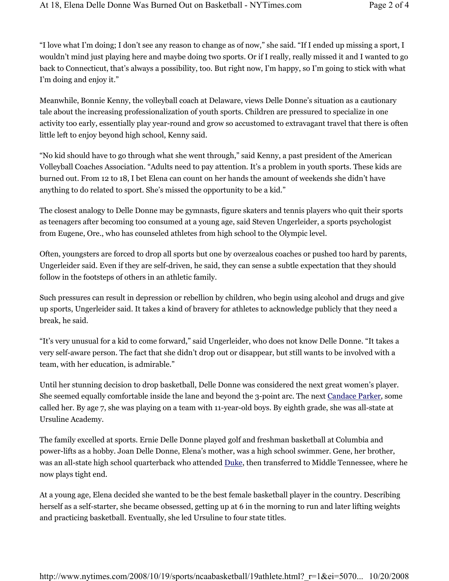"I love what I'm doing; I don't see any reason to change as of now," she said. "If I ended up missing a sport, I wouldn't mind just playing here and maybe doing two sports. Or if I really, really missed it and I wanted to go back to Connecticut, that's always a possibility, too. But right now, I'm happy, so I'm going to stick with what I'm doing and enjoy it."

Meanwhile, Bonnie Kenny, the volleyball coach at Delaware, views Delle Donne's situation as a cautionary tale about the increasing professionalization of youth sports. Children are pressured to specialize in one activity too early, essentially play year-round and grow so accustomed to extravagant travel that there is often little left to enjoy beyond high school, Kenny said.

"No kid should have to go through what she went through," said Kenny, a past president of the American Volleyball Coaches Association. "Adults need to pay attention. It's a problem in youth sports. These kids are burned out. From 12 to 18, I bet Elena can count on her hands the amount of weekends she didn't have anything to do related to sport. She's missed the opportunity to be a kid."

The closest analogy to Delle Donne may be gymnasts, figure skaters and tennis players who quit their sports as teenagers after becoming too consumed at a young age, said Steven Ungerleider, a sports psychologist from Eugene, Ore., who has counseled athletes from high school to the Olympic level.

Often, youngsters are forced to drop all sports but one by overzealous coaches or pushed too hard by parents, Ungerleider said. Even if they are self-driven, he said, they can sense a subtle expectation that they should follow in the footsteps of others in an athletic family.

Such pressures can result in depression or rebellion by children, who begin using alcohol and drugs and give up sports, Ungerleider said. It takes a kind of bravery for athletes to acknowledge publicly that they need a break, he said.

"It's very unusual for a kid to come forward," said Ungerleider, who does not know Delle Donne. "It takes a very self-aware person. The fact that she didn't drop out or disappear, but still wants to be involved with a team, with her education, is admirable."

Until her stunning decision to drop basketball, Delle Donne was considered the next great women's player. She seemed equally comfortable inside the lane and beyond the 3-point arc. The next Candace Parker, some called her. By age 7, she was playing on a team with 11-year-old boys. By eighth grade, she was all-state at Ursuline Academy.

The family excelled at sports. Ernie Delle Donne played golf and freshman basketball at Columbia and power-lifts as a hobby. Joan Delle Donne, Elena's mother, was a high school swimmer. Gene, her brother, was an all-state high school quarterback who attended Duke, then transferred to Middle Tennessee, where he now plays tight end.

At a young age, Elena decided she wanted to be the best female basketball player in the country. Describing herself as a self-starter, she became obsessed, getting up at 6 in the morning to run and later lifting weights and practicing basketball. Eventually, she led Ursuline to four state titles.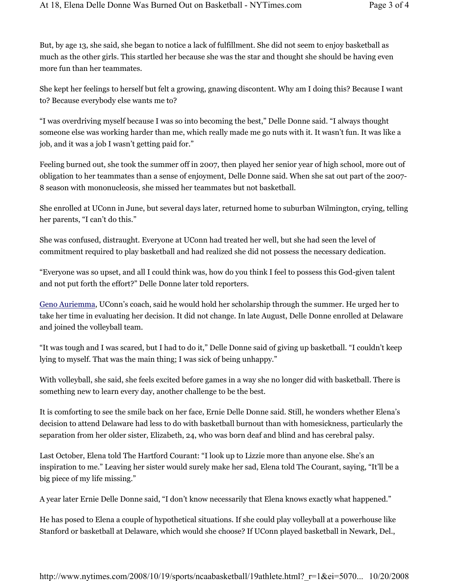But, by age 13, she said, she began to notice a lack of fulfillment. She did not seem to enjoy basketball as much as the other girls. This startled her because she was the star and thought she should be having even more fun than her teammates.

She kept her feelings to herself but felt a growing, gnawing discontent. Why am I doing this? Because I want to? Because everybody else wants me to?

"I was overdriving myself because I was so into becoming the best," Delle Donne said. "I always thought someone else was working harder than me, which really made me go nuts with it. It wasn't fun. It was like a job, and it was a job I wasn't getting paid for."

Feeling burned out, she took the summer off in 2007, then played her senior year of high school, more out of obligation to her teammates than a sense of enjoyment, Delle Donne said. When she sat out part of the 2007- 8 season with mononucleosis, she missed her teammates but not basketball.

She enrolled at UConn in June, but several days later, returned home to suburban Wilmington, crying, telling her parents, "I can't do this."

She was confused, distraught. Everyone at UConn had treated her well, but she had seen the level of commitment required to play basketball and had realized she did not possess the necessary dedication.

"Everyone was so upset, and all I could think was, how do you think I feel to possess this God-given talent and not put forth the effort?" Delle Donne later told reporters.

Geno Auriemma, UConn's coach, said he would hold her scholarship through the summer. He urged her to take her time in evaluating her decision. It did not change. In late August, Delle Donne enrolled at Delaware and joined the volleyball team.

"It was tough and I was scared, but I had to do it," Delle Donne said of giving up basketball. "I couldn't keep lying to myself. That was the main thing; I was sick of being unhappy."

With volleyball, she said, she feels excited before games in a way she no longer did with basketball. There is something new to learn every day, another challenge to be the best.

It is comforting to see the smile back on her face, Ernie Delle Donne said. Still, he wonders whether Elena's decision to attend Delaware had less to do with basketball burnout than with homesickness, particularly the separation from her older sister, Elizabeth, 24, who was born deaf and blind and has cerebral palsy.

Last October, Elena told The Hartford Courant: "I look up to Lizzie more than anyone else. She's an inspiration to me." Leaving her sister would surely make her sad, Elena told The Courant, saying, "It'll be a big piece of my life missing."

A year later Ernie Delle Donne said, "I don't know necessarily that Elena knows exactly what happened."

He has posed to Elena a couple of hypothetical situations. If she could play volleyball at a powerhouse like Stanford or basketball at Delaware, which would she choose? If UConn played basketball in Newark, Del.,